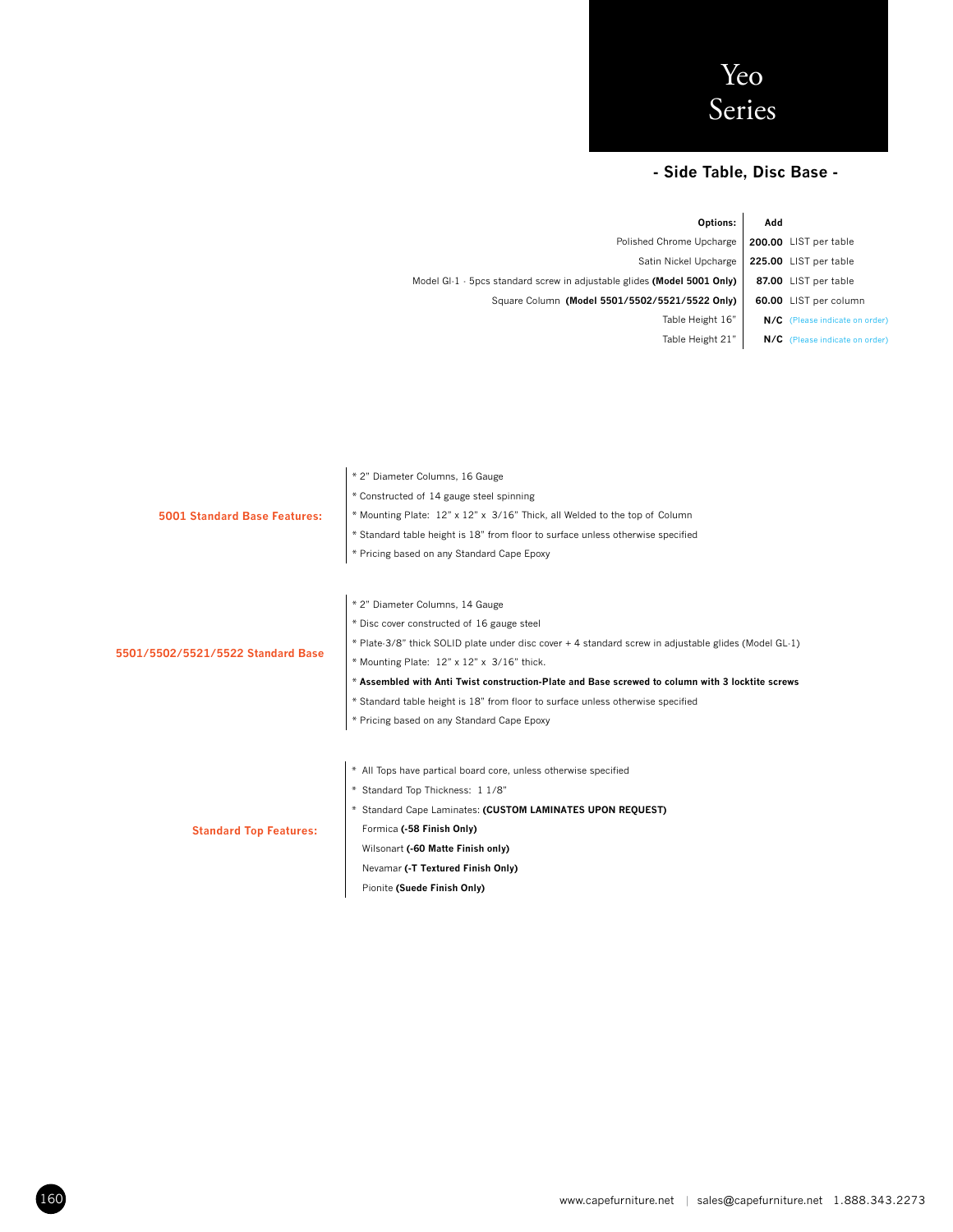

## **- Side Table, Disc Base -**

| Options:                                                                      | Add |                                |
|-------------------------------------------------------------------------------|-----|--------------------------------|
| Polished Chrome Upcharge                                                      |     | 200.00 LIST per table          |
| Satin Nickel Upcharge                                                         |     | 225.00 LIST per table          |
| Model GI-1 $\cdot$ 5pcs standard screw in adjustable glides (Model 5001 Only) |     | 87.00 LIST per table           |
| Square Column (Model 5501/5502/5521/5522 Only)                                |     | 60.00 LIST per column          |
| Table Height 16"                                                              |     | N/C (Please indicate on order) |
| Table Height 21"                                                              |     | N/C (Please indicate on order) |
|                                                                               |     |                                |

|                                   | * 2" Diameter Columns, 16 Gauge                                                                      |  |  |  |  |  |  |  |
|-----------------------------------|------------------------------------------------------------------------------------------------------|--|--|--|--|--|--|--|
|                                   | * Constructed of 14 gauge steel spinning                                                             |  |  |  |  |  |  |  |
| 5001 Standard Base Features:      | * Mounting Plate: 12" x 12" x 3/16" Thick, all Welded to the top of Column                           |  |  |  |  |  |  |  |
|                                   | * Standard table height is 18" from floor to surface unless otherwise specified                      |  |  |  |  |  |  |  |
|                                   | * Pricing based on any Standard Cape Epoxy                                                           |  |  |  |  |  |  |  |
|                                   |                                                                                                      |  |  |  |  |  |  |  |
|                                   | * 2" Diameter Columns, 14 Gauge                                                                      |  |  |  |  |  |  |  |
|                                   | * Disc cover constructed of 16 gauge steel                                                           |  |  |  |  |  |  |  |
|                                   | * Plate-3/8" thick SOLID plate under disc cover + 4 standard screw in adjustable glides (Model GL-1) |  |  |  |  |  |  |  |
| 5501/5502/5521/5522 Standard Base | * Mounting Plate: 12" x 12" x 3/16" thick.                                                           |  |  |  |  |  |  |  |
|                                   |                                                                                                      |  |  |  |  |  |  |  |
|                                   | * Assembled with Anti Twist construction-Plate and Base screwed to column with 3 locktite screws     |  |  |  |  |  |  |  |
|                                   | * Standard table height is 18" from floor to surface unless otherwise specified                      |  |  |  |  |  |  |  |
|                                   | * Pricing based on any Standard Cape Epoxy                                                           |  |  |  |  |  |  |  |
|                                   |                                                                                                      |  |  |  |  |  |  |  |
|                                   | * All Tops have partical board core, unless otherwise specified                                      |  |  |  |  |  |  |  |
|                                   | * Standard Top Thickness: 1 1/8"                                                                     |  |  |  |  |  |  |  |
|                                   | * Standard Cape Laminates: (CUSTOM LAMINATES UPON REQUEST)                                           |  |  |  |  |  |  |  |
| <b>Standard Top Features:</b>     | Formica (-58 Finish Only)                                                                            |  |  |  |  |  |  |  |
|                                   | Wilsonart (-60 Matte Finish only)                                                                    |  |  |  |  |  |  |  |
|                                   | Nevamar (-T Textured Finish Only)                                                                    |  |  |  |  |  |  |  |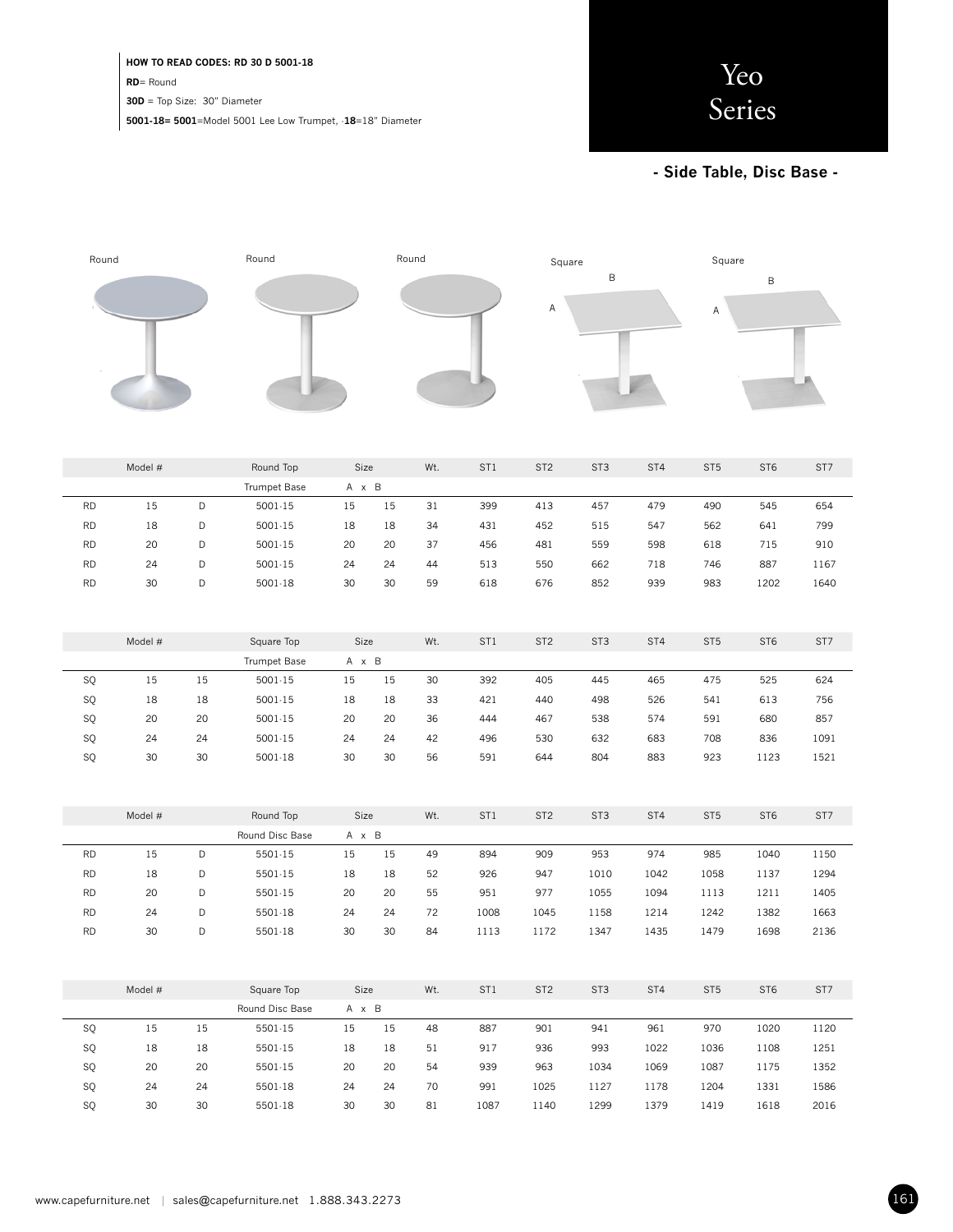## **HOW TO READ CODES: RD 30 D 5001-18**

**RD**= Round

**30D** = Top Size: 30" Diameter

**5001-18= 5001**=Model 5001 Lee Low Trumpet, -**18**=18" Diameter



**- Side Table, Disc Base -** 



| Model #   |         | Round Top | Size            |       | Wt. | ST <sub>1</sub> | ST <sub>2</sub> | ST <sub>3</sub> | ST4             | ST <sub>5</sub> | ST <sub>6</sub> | ST7             |      |
|-----------|---------|-----------|-----------------|-------|-----|-----------------|-----------------|-----------------|-----------------|-----------------|-----------------|-----------------|------|
|           |         |           | Trumpet Base    | A x B |     |                 |                 |                 |                 |                 |                 |                 |      |
| <b>RD</b> | 15      | D         | $5001 - 15$     | 15    | 15  | 31              | 399             | 413             | 457             | 479             | 490             | 545             | 654  |
| <b>RD</b> | 18      | D         | $5001 - 15$     | 18    | 18  | 34              | 431             | 452             | 515             | 547             | 562             | 641             | 799  |
| <b>RD</b> | 20      | D         | $5001 - 15$     | 20    | 20  | 37              | 456             | 481             | 559             | 598             | 618             | 715             | 910  |
| <b>RD</b> | 24      | D         | $5001 - 15$     | 24    | 24  | 44              | 513             | 550             | 662             | 718             | 746             | 887             | 1167 |
| <b>RD</b> | 30      | D         | $5001-18$       | 30    | 30  | 59              | 618             | 676             | 852             | 939             | 983             | 1202            | 1640 |
|           |         |           |                 |       |     |                 |                 |                 |                 |                 |                 |                 |      |
|           |         |           |                 |       |     |                 |                 |                 |                 |                 |                 |                 |      |
|           | Model # |           | Square Top      | Size  |     | Wt.             | ST1             | ST <sub>2</sub> | ST <sub>3</sub> | ST4             | ST <sub>5</sub> | ST <sub>6</sub> | ST7  |
|           |         |           | Trumpet Base    | A x B |     |                 |                 |                 |                 |                 |                 |                 |      |
| SQ        | 15      | 15        | $5001 - 15$     | 15    | 15  | 30              | 392             | 405             | 445             | 465             | 475             | 525             | 624  |
| SQ        | 18      | 18        | 5001.15         | 18    | 18  | 33              | 421             | 440             | 498             | 526             | 541             | 613             | 756  |
| SQ        | 20      | 20        | $5001 - 15$     | 20    | 20  | 36              | 444             | 467             | 538             | 574             | 591             | 680             | 857  |
| SQ        | 24      | 24        | $5001 - 15$     | 24    | 24  | 42              | 496             | 530             | 632             | 683             | 708             | 836             | 1091 |
| SQ        | 30      | 30        | $5001-18$       | 30    | 30  | 56              | 591             | 644             | 804             | 883             | 923             | 1123            | 1521 |
|           |         |           |                 |       |     |                 |                 |                 |                 |                 |                 |                 |      |
|           |         |           |                 |       |     |                 |                 |                 |                 |                 |                 |                 |      |
|           | Model # |           | Round Top       | Size  |     | Wt.             | ST <sub>1</sub> | ST <sub>2</sub> | ST <sub>3</sub> | ST <sub>4</sub> | ST <sub>5</sub> | ST <sub>6</sub> | ST7  |
|           |         |           | Round Disc Base | A x B |     |                 |                 |                 |                 |                 |                 |                 |      |
| <b>RD</b> | 15      | D         | 5501-15         | 15    | 15  | 49              | 894             | 909             | 953             | 974             | 985             | 1040            | 1150 |
| <b>RD</b> | 18      | D         | $5501-15$       | 18    | 18  | 52              | 926             | 947             | 1010            | 1042            | 1058            | 1137            | 1294 |
| <b>RD</b> | 20      | D         | $5501-15$       | 20    | 20  | 55              | 951             | 977             | 1055            | 1094            | 1113            | 1211            | 1405 |
| <b>RD</b> | 24      | D         | 5501-18         | 24    | 24  | 72              | 1008            | 1045            | 1158            | 1214            | 1242            | 1382            | 1663 |
| <b>RD</b> | 30      | D         | 5501.18         | 30    | 30  | 84              | 1113            | 1172            | 1347            | 1435            | 1479            | 1698            | 2136 |
|           |         |           |                 |       |     |                 |                 |                 |                 |                 |                 |                 |      |
|           |         |           |                 |       |     |                 |                 |                 |                 |                 |                 |                 |      |

|           | Model # |    | Square Top      | Size |       | Wt. | ST <sub>1</sub> | ST <sub>2</sub> | ST <sub>3</sub> | ST <sub>4</sub> | ST <sub>5</sub> | ST <sub>6</sub> | ST7  |
|-----------|---------|----|-----------------|------|-------|-----|-----------------|-----------------|-----------------|-----------------|-----------------|-----------------|------|
|           |         |    | Round Disc Base |      | A x B |     |                 |                 |                 |                 |                 |                 |      |
| SQ        | 15      | 15 | 5501-15         | 15   | 15    | 48  | 887             | 901             | 941             | 961             | 970             | 1020            | 1120 |
| <b>SQ</b> | 18      | 18 | 5501-15         | 18   | 18    | 51  | 917             | 936             | 993             | 1022            | 1036            | 1108            | 1251 |
| SQ        | 20      | 20 | 5501-15         | 20   | 20    | 54  | 939             | 963             | 1034            | 1069            | 1087            | 1175            | 1352 |
| SQ        | 24      | 24 | 5501-18         | 24   | 24    | 70  | 991             | 1025            | 1127            | 1178            | 1204            | 1331            | 1586 |
| <b>SQ</b> | 30      | 30 | 5501-18         | 30   | 30    | 81  | 1087            | 1140            | 1299            | 1379            | 1419            | 1618            | 2016 |